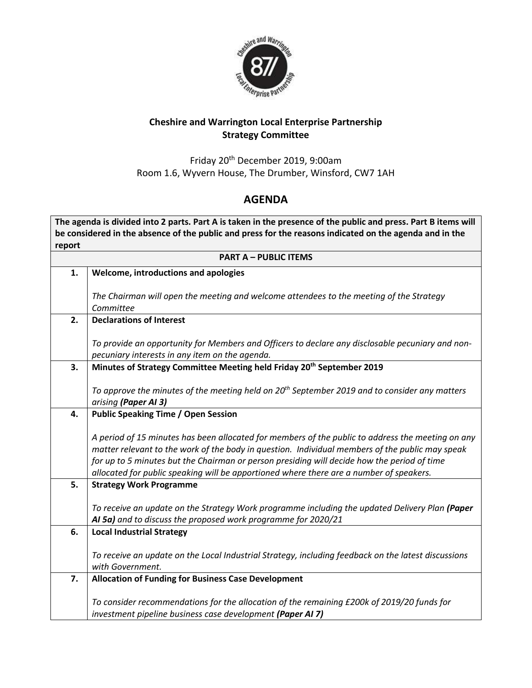

## **Cheshire and Warrington Local Enterprise Partnership Strategy Committee**

Friday 20th December 2019, 9:00am Room 1.6, Wyvern House, The Drumber, Winsford, CW7 1AH

## **AGENDA**

**The agenda is divided into 2 parts. Part A is taken in the presence of the public and press. Part B items will be considered in the absence of the public and press for the reasons indicated on the agenda and in the report**

| <b>PART A - PUBLIC ITEMS</b> |                                                                                                                                                                                                |  |
|------------------------------|------------------------------------------------------------------------------------------------------------------------------------------------------------------------------------------------|--|
| 1.                           | Welcome, introductions and apologies                                                                                                                                                           |  |
|                              |                                                                                                                                                                                                |  |
|                              | The Chairman will open the meeting and welcome attendees to the meeting of the Strategy<br>Committee                                                                                           |  |
| 2.                           | <b>Declarations of Interest</b>                                                                                                                                                                |  |
|                              |                                                                                                                                                                                                |  |
|                              | To provide an opportunity for Members and Officers to declare any disclosable pecuniary and non-                                                                                               |  |
|                              | pecuniary interests in any item on the agenda.                                                                                                                                                 |  |
| 3.                           | Minutes of Strategy Committee Meeting held Friday 20 <sup>th</sup> September 2019                                                                                                              |  |
|                              | To approve the minutes of the meeting held on $20^{th}$ September 2019 and to consider any matters                                                                                             |  |
|                              | arising (Paper AI 3)                                                                                                                                                                           |  |
| 4.                           | <b>Public Speaking Time / Open Session</b>                                                                                                                                                     |  |
|                              |                                                                                                                                                                                                |  |
|                              | A period of 15 minutes has been allocated for members of the public to address the meeting on any                                                                                              |  |
|                              | matter relevant to the work of the body in question. Individual members of the public may speak<br>for up to 5 minutes but the Chairman or person presiding will decide how the period of time |  |
|                              | allocated for public speaking will be apportioned where there are a number of speakers.                                                                                                        |  |
| 5.                           | <b>Strategy Work Programme</b>                                                                                                                                                                 |  |
|                              |                                                                                                                                                                                                |  |
|                              | To receive an update on the Strategy Work programme including the updated Delivery Plan (Paper                                                                                                 |  |
|                              | AI 5a) and to discuss the proposed work programme for 2020/21                                                                                                                                  |  |
| 6.                           | <b>Local Industrial Strategy</b>                                                                                                                                                               |  |
|                              | To receive an update on the Local Industrial Strategy, including feedback on the latest discussions                                                                                            |  |
|                              | with Government.                                                                                                                                                                               |  |
| 7.                           | <b>Allocation of Funding for Business Case Development</b>                                                                                                                                     |  |
|                              |                                                                                                                                                                                                |  |
|                              | To consider recommendations for the allocation of the remaining £200k of 2019/20 funds for                                                                                                     |  |
|                              | investment pipeline business case development (Paper AI 7)                                                                                                                                     |  |